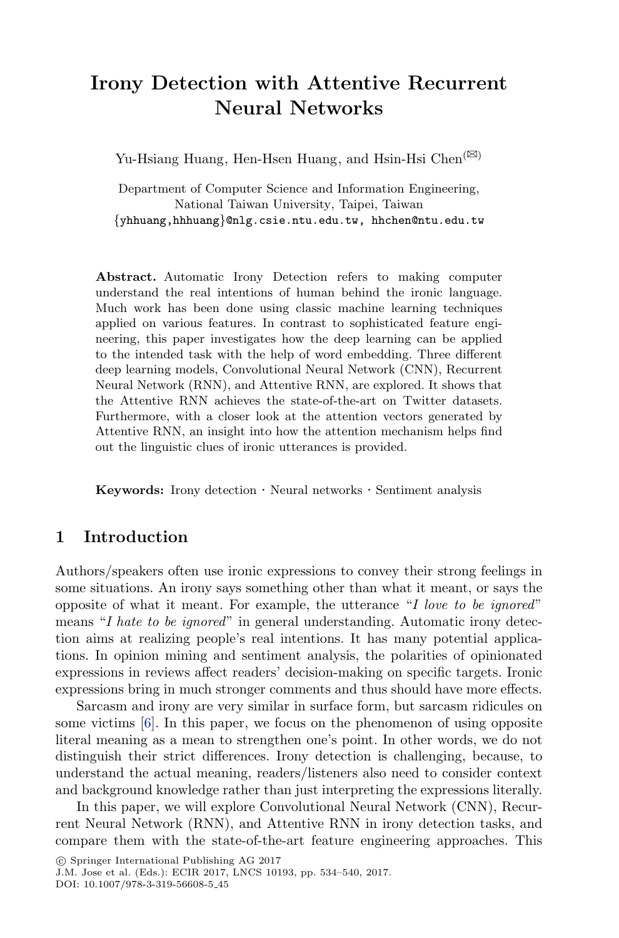# **Irony Detection with Attentive Recurrent Neural Networks**

Yu-Hsiang Huang, Hen-Hsen Huang, and Hsin-Hsi Chen<sup>( $\boxtimes$ )</sup>

Department of Computer Science and Information Engineering, National Taiwan University, Taipei, Taiwan *{*yhhuang,hhhuang*}*@nlg.csie.ntu.edu.tw, hhchen@ntu.edu.tw

**Abstract.** Automatic Irony Detection refers to making computer understand the real intentions of human behind the ironic language. Much work has been done using classic machine learning techniques applied on various features. In contrast to sophisticated feature engineering, this paper investigates how the deep learning can be applied to the intended task with the help of word embedding. Three different deep learning models, Convolutional Neural Network (CNN), Recurrent Neural Network (RNN), and Attentive RNN, are explored. It shows that the Attentive RNN achieves the state-of-the-art on Twitter datasets. Furthermore, with a closer look at the attention vectors generated by Attentive RNN, an insight into how the attention mechanism helps find out the linguistic clues of ironic utterances is provided.

**Keywords:** Irony detection · Neural networks · Sentiment analysis

### **1 Introduction**

Authors/speakers often use ironic expressions to convey their strong feelings in some situations. An irony says something other than what it meant, or says the opposite of what it meant. For example, the utterance "*I love to be ignored*" means "*I hate to be ignored*" in general understanding. Automatic irony detection aims at realizing people's real intentions. It has many potential applications. In opinion mining and sentiment analysis, the polarities of opinionated expressions in reviews affect readers' decision-making on specific targets. Ironic expressions bring in much stronger comments and thus should have more effects.

Sarcasm and irony are very similar in surface form, but sarcasm ridicules on some victims  $[6]$  $[6]$ . In this paper, we focus on the phenomenon of using opposite literal meaning as a mean to strengthen one's point. In other words, we do not distinguish their strict differences. Irony detection is challenging, because, to understand the actual meaning, readers/listeners also need to consider context and background knowledge rather than just interpreting the expressions literally.

In this paper, we will explore Convolutional Neural Network (CNN), Recurrent Neural Network (RNN), and Attentive RNN in irony detection tasks, and compare them with the state-of-the-art feature engineering approaches. This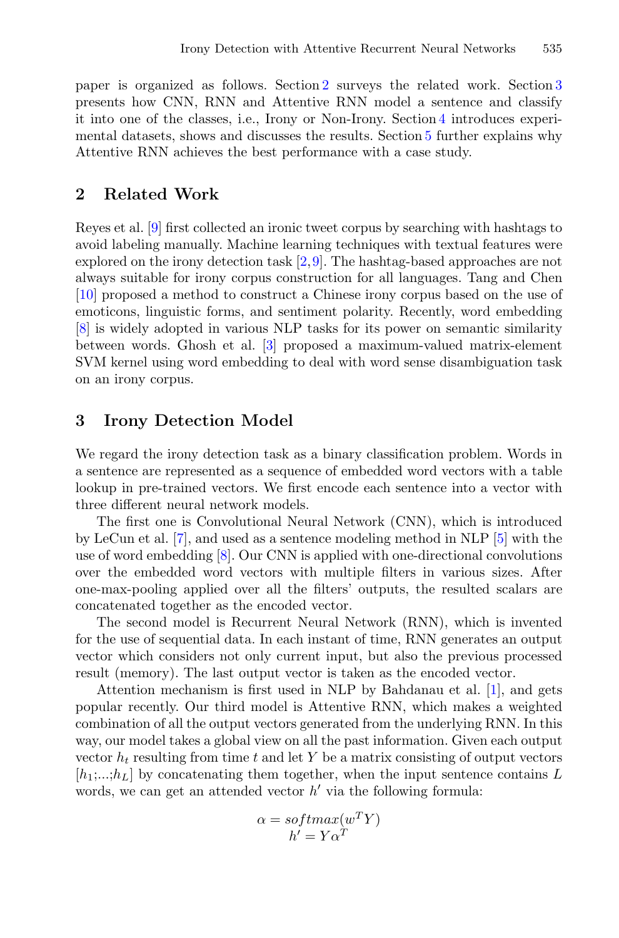paper is organized as follows. Section [2](#page-1-0) surveys the related work. Section [3](#page-1-1) presents how CNN, RNN and Attentive RNN model a sentence and classify it into one of the classes, i.e., Irony or Non-Irony. Section [4](#page-2-0) introduces experimental datasets, shows and discusses the results. Section [5](#page-3-0) further explains why Attentive RNN achieves the best performance with a case study.

#### <span id="page-1-0"></span>**2 Related Work**

Reyes et al. [\[9](#page-6-0)] first collected an ironic tweet corpus by searching with hashtags to avoid labeling manually. Machine learning techniques with textual features were explored on the irony detection task [\[2](#page-5-1),[9\]](#page-6-0). The hashtag-based approaches are not always suitable for irony corpus construction for all languages. Tang and Chen [\[10](#page-6-1)] proposed a method to construct a Chinese irony corpus based on the use of emoticons, linguistic forms, and sentiment polarity. Recently, word embedding [\[8](#page-6-2)] is widely adopted in various NLP tasks for its power on semantic similarity between words. Ghosh et al. [\[3\]](#page-5-2) proposed a maximum-valued matrix-element SVM kernel using word embedding to deal with word sense disambiguation task on an irony corpus.

#### <span id="page-1-1"></span>**3 Irony Detection Model**

We regard the irony detection task as a binary classification problem. Words in a sentence are represented as a sequence of embedded word vectors with a table lookup in pre-trained vectors. We first encode each sentence into a vector with three different neural network models.

The first one is Convolutional Neural Network (CNN), which is introduced by LeCun et al. [\[7](#page-6-3)], and used as a sentence modeling method in NLP [\[5\]](#page-5-3) with the use of word embedding [\[8](#page-6-2)]. Our CNN is applied with one-directional convolutions over the embedded word vectors with multiple filters in various sizes. After one-max-pooling applied over all the filters' outputs, the resulted scalars are concatenated together as the encoded vector.

The second model is Recurrent Neural Network (RNN), which is invented for the use of sequential data. In each instant of time, RNN generates an output vector which considers not only current input, but also the previous processed result (memory). The last output vector is taken as the encoded vector.

Attention mechanism is first used in NLP by Bahdanau et al. [\[1](#page-5-4)], and gets popular recently. Our third model is Attentive RNN, which makes a weighted combination of all the output vectors generated from the underlying RNN. In this way, our model takes a global view on all the past information. Given each output vector  $h_t$  resulting from time t and let Y be a matrix consisting of output vectors  $[h_1; \ldots; h_L]$  by concatenating them together, when the input sentence contains L words, we can get an attended vector  $h'$  via the following formula:

$$
\alpha = softmax(w^T Y) \n h' = Y \alpha^T
$$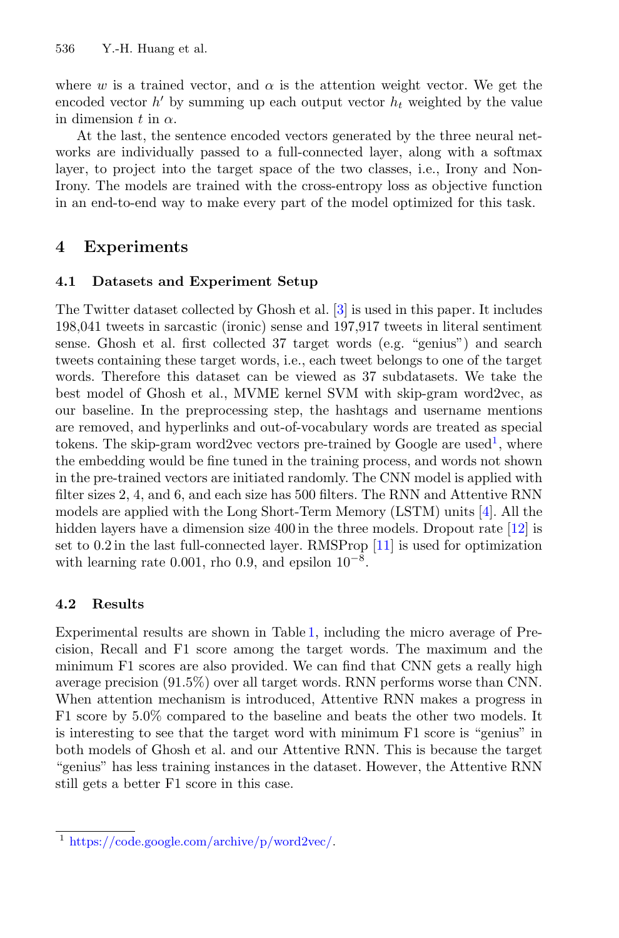where w is a trained vector, and  $\alpha$  is the attention weight vector. We get the encoded vector  $h'$  by summing up each output vector  $h_t$  weighted by the value in dimension t in  $\alpha$ .

At the last, the sentence encoded vectors generated by the three neural networks are individually passed to a full-connected layer, along with a softmax layer, to project into the target space of the two classes, i.e., Irony and Non-Irony. The models are trained with the cross-entropy loss as objective function in an end-to-end way to make every part of the model optimized for this task.

# <span id="page-2-0"></span>**4 Experiments**

### **4.1 Datasets and Experiment Setup**

The Twitter dataset collected by Ghosh et al. [\[3](#page-5-2)] is used in this paper. It includes 198,041 tweets in sarcastic (ironic) sense and 197,917 tweets in literal sentiment sense. Ghosh et al. first collected 37 target words (e.g. "genius") and search tweets containing these target words, i.e., each tweet belongs to one of the target words. Therefore this dataset can be viewed as 37 subdatasets. We take the best model of Ghosh et al., MVME kernel SVM with skip-gram word2vec, as our baseline. In the preprocessing step, the hashtags and username mentions are removed, and hyperlinks and out-of-vocabulary words are treated as special tokens. The skip-gram word2vec vectors pre-trained by Google are used<sup>[1](#page-2-1)</sup>, where the embedding would be fine tuned in the training process, and words not shown in the pre-trained vectors are initiated randomly. The CNN model is applied with filter sizes 2, 4, and 6, and each size has 500 filters. The RNN and Attentive RNN models are applied with the Long Short-Term Memory (LSTM) units [\[4](#page-5-5)]. All the hidden layers have a dimension size 400 in the three models. Dropout rate [\[12\]](#page-6-4) is set to 0.2 in the last full-connected layer. RMSProp [\[11](#page-6-5)] is used for optimization with learning rate 0.001, rho 0.9, and epsilon  $10^{-8}$ .

# **4.2 Results**

Experimental results are shown in Table [1,](#page-3-1) including the micro average of Precision, Recall and F1 score among the target words. The maximum and the minimum F1 scores are also provided. We can find that CNN gets a really high average precision (91.5%) over all target words. RNN performs worse than CNN. When attention mechanism is introduced, Attentive RNN makes a progress in F1 score by 5.0% compared to the baseline and beats the other two models. It is interesting to see that the target word with minimum F1 score is "genius" in both models of Ghosh et al. and our Attentive RNN. This is because the target "genius" has less training instances in the dataset. However, the Attentive RNN still gets a better F1 score in this case.

<span id="page-2-1"></span><sup>1</sup> [https://code.google.com/archive/p/word2vec/.](https://code.google.com/archive/p/word2vec/)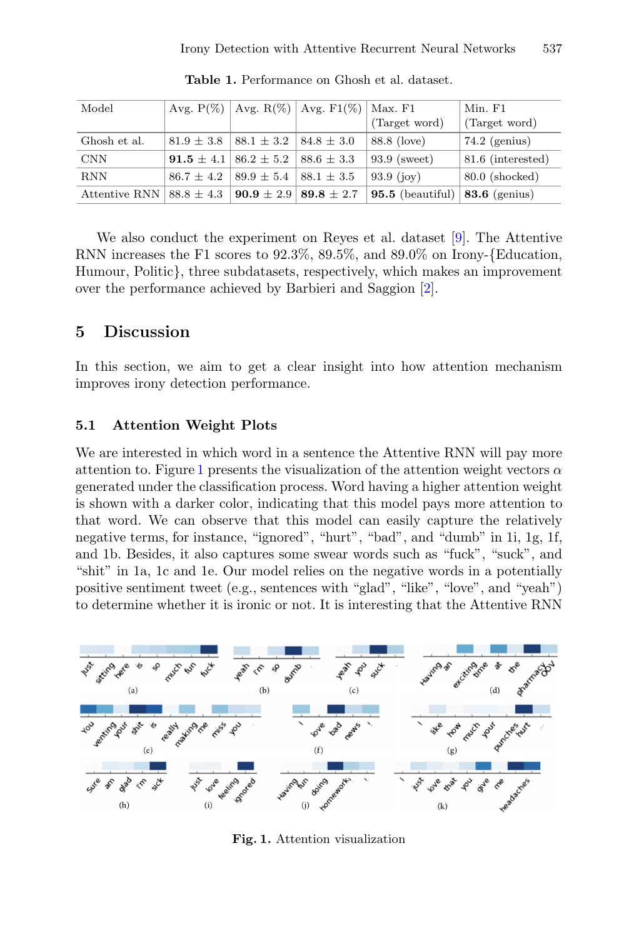| Model                        |                                        |                                 | Avg. $P(\%)$   Avg. $R(\%)$   Avg. $F1(\%)$ | Max. F1          | Min. F1           |
|------------------------------|----------------------------------------|---------------------------------|---------------------------------------------|------------------|-------------------|
|                              |                                        |                                 |                                             | (Target word)    | (Target word)     |
| Ghosh et al.                 | $81.9 \pm 3.8$                         | $88.1 \pm 3.2$                  | $84.8 \pm 3.0$                              | 88.8 (love)      | $74.2$ (genius)   |
| <b>CNN</b>                   | <b>91.5</b> $\pm$ 4.1   86.2 $\pm$ 5.2 |                                 | $88.6 \pm 3.3$                              | $93.9$ (sweet)   | 81.6 (interested) |
| <b>RNN</b>                   | $86.7 \pm 4.2$                         | $89.9 \pm 5.4$                  | $88.1 \pm 3.5$                              | 93.9 $(ioy)$     | $80.0$ (shocked)  |
| Attentive RNN $88.8 \pm 4.3$ |                                        | $90.9 \pm 2.9$   89.8 $\pm 2.7$ |                                             | 95.5 (beautiful) | $83.6$ (genius)   |

<span id="page-3-1"></span>**Table 1.** Performance on Ghosh et al. dataset.

We also conduct the experiment on Reyes et al. dataset [\[9](#page-6-0)]. The Attentive RNN increases the F1 scores to 92.3%, 89.5%, and 89.0% on Irony-{Education, Humour, Politic}, three subdatasets, respectively, which makes an improvement over the performance achieved by Barbieri and Saggion [\[2\]](#page-5-1).

### <span id="page-3-0"></span>**5 Discussion**

In this section, we aim to get a clear insight into how attention mechanism improves irony detection performance.

#### **5.1 Attention Weight Plots**

We are interested in which word in a sentence the Attentive RNN will pay more attention to. Figure [1](#page-3-2) presents the visualization of the attention weight vectors  $\alpha$ generated under the classification process. Word having a higher attention weight is shown with a darker color, indicating that this model pays more attention to that word. We can observe that this model can easily capture the relatively negative terms, for instance, "ignored", "hurt", "bad", and "dumb" in 1i, 1g, 1f, and 1b. Besides, it also captures some swear words such as "fuck", "suck", and "shit" in 1a, 1c and 1e. Our model relies on the negative words in a potentially positive sentiment tweet (e.g., sentences with "glad", "like", "love", and "yeah") to determine whether it is ironic or not. It is interesting that the Attentive RNN



<span id="page-3-2"></span>**Fig. 1.** Attention visualization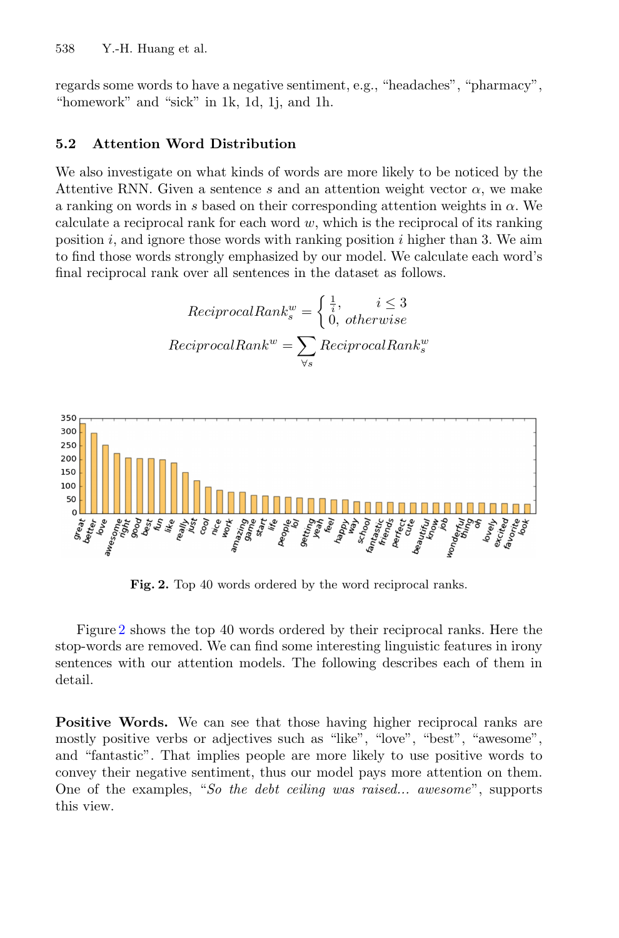regards some words to have a negative sentiment, e.g., "headaches", "pharmacy", "homework" and "sick" in 1k, 1d, 1j, and 1h.

#### **5.2 Attention Word Distribution**

We also investigate on what kinds of words are more likely to be noticed by the Attentive RNN. Given a sentence s and an attention weight vector  $\alpha$ , we make a ranking on words in s based on their corresponding attention weights in  $\alpha$ . We calculate a reciprocal rank for each word  $w$ , which is the reciprocal of its ranking position i, and ignore those words with ranking position i higher than 3. We aim to find those words strongly emphasized by our model. We calculate each word's final reciprocal rank over all sentences in the dataset as follows.

$$
ReciprocalRank_s^w = \begin{cases} \frac{1}{i}, & i \le 3\\ 0, & otherwise \end{cases}
$$

$$
ReciprocalRank^w = \sum_{\forall s} ReciprocalRank_s^w
$$



**Fig. 2.** Top 40 words ordered by the word reciprocal ranks.

<span id="page-4-0"></span>Figure [2](#page-4-0) shows the top 40 words ordered by their reciprocal ranks. Here the stop-words are removed. We can find some interesting linguistic features in irony sentences with our attention models. The following describes each of them in detail.

**Positive Words.** We can see that those having higher reciprocal ranks are mostly positive verbs or adjectives such as "like", "love", "best", "awesome", and "fantastic". That implies people are more likely to use positive words to convey their negative sentiment, thus our model pays more attention on them. One of the examples, "*So the debt ceiling was raised... awesome*", supports this view.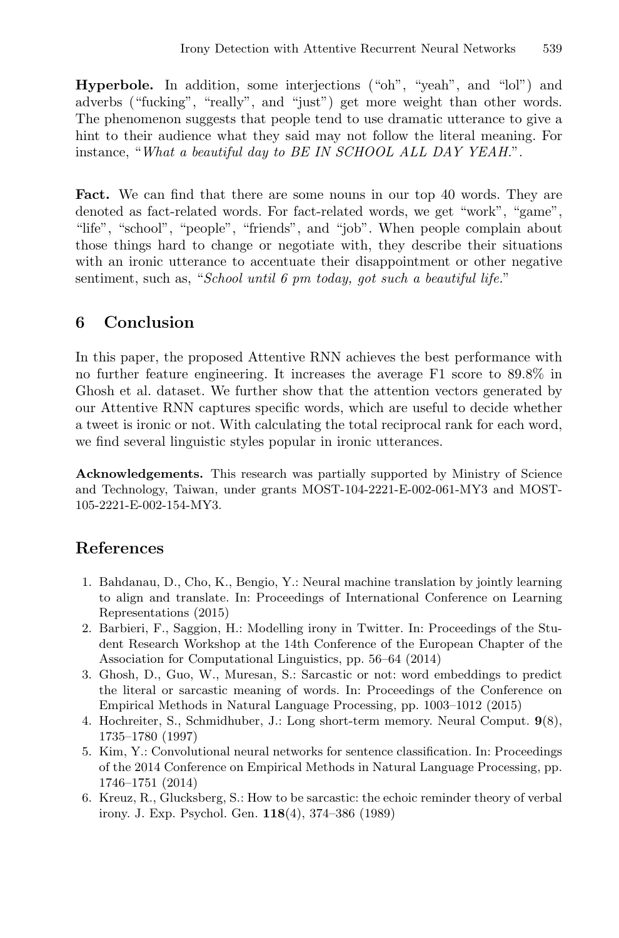Hyperbole. In addition, some interjections ("oh", "yeah", and "lol") and adverbs ("fucking", "really", and "just") get more weight than other words. The phenomenon suggests that people tend to use dramatic utterance to give a hint to their audience what they said may not follow the literal meaning. For instance, "*What a beautiful day to BE IN SCHOOL ALL DAY YEAH.*".

**Fact.** We can find that there are some nouns in our top 40 words. They are denoted as fact-related words. For fact-related words, we get "work", "game", "life", "school", "people", "friends", and "job". When people complain about those things hard to change or negotiate with, they describe their situations with an ironic utterance to accentuate their disappointment or other negative sentiment, such as, "*School until 6 pm today, got such a beautiful life.*"

# **6 Conclusion**

In this paper, the proposed Attentive RNN achieves the best performance with no further feature engineering. It increases the average F1 score to 89.8% in Ghosh et al. dataset. We further show that the attention vectors generated by our Attentive RNN captures specific words, which are useful to decide whether a tweet is ironic or not. With calculating the total reciprocal rank for each word, we find several linguistic styles popular in ironic utterances.

**Acknowledgements.** This research was partially supported by Ministry of Science and Technology, Taiwan, under grants MOST-104-2221-E-002-061-MY3 and MOST-105-2221-E-002-154-MY3.

# <span id="page-5-4"></span>**References**

- 1. Bahdanau, D., Cho, K., Bengio, Y.: Neural machine translation by jointly learning to align and translate. In: Proceedings of International Conference on Learning Representations (2015)
- <span id="page-5-1"></span>2. Barbieri, F., Saggion, H.: Modelling irony in Twitter. In: Proceedings of the Student Research Workshop at the 14th Conference of the European Chapter of the Association for Computational Linguistics, pp. 56–64 (2014)
- <span id="page-5-2"></span>3. Ghosh, D., Guo, W., Muresan, S.: Sarcastic or not: word embeddings to predict the literal or sarcastic meaning of words. In: Proceedings of the Conference on Empirical Methods in Natural Language Processing, pp. 1003–1012 (2015)
- <span id="page-5-5"></span>4. Hochreiter, S., Schmidhuber, J.: Long short-term memory. Neural Comput. **9**(8), 1735–1780 (1997)
- <span id="page-5-3"></span>5. Kim, Y.: Convolutional neural networks for sentence classification. In: Proceedings of the 2014 Conference on Empirical Methods in Natural Language Processing, pp. 1746–1751 (2014)
- <span id="page-5-0"></span>6. Kreuz, R., Glucksberg, S.: How to be sarcastic: the echoic reminder theory of verbal irony. J. Exp. Psychol. Gen. **118**(4), 374–386 (1989)